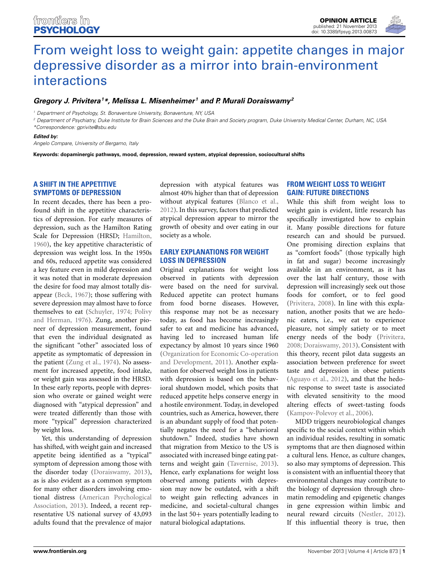

# [From weight loss to weight gain: appetite changes in major](http://www.frontiersin.org/journal/10.3389/fpsyg.2013.00873/full) depressive disorder as a mirror into brain-environment interactions

## *[Gregory J. Privitera](http://www.frontiersin.org/people/u/117211)1 \*, Melissa L. Misenheimer <sup>1</sup> and [P. Murali Doraiswamy2](http://www.frontiersin.org/people/u/78043)*

*<sup>1</sup> Department of Psychology, St. Bonaventure University, Bonaventure, NY, USA*

*<sup>2</sup> Department of Psychiatry, Duke Institute for Brain Sciences and the Duke Brain and Society program, Duke University Medical Center, Durham, NC, USA \*Correspondence: gprivite@sbu.edu*

#### *Edited by:*

*Angelo Compare, University of Bergamo, Italy*

**Keywords: dopaminergic pathways, mood, depression, reward system, atypical depression, sociocultural shifts**

## **A SHIFT IN THE APPETITIVE SYMPTOMS OF DEPRESSION**

In recent decades, there has been a profound shift in the appetitive characteristics of depression. For early measures of depression, such as the Hamilton Rating Scale for Depression (HRSD; [Hamilton,](#page-1-0) [1960](#page-1-0)), the key appetitive characteristic of depression was weight loss. In the 1950s and 60s, reduced appetite was considered a key feature even in mild depression and it was noted that in moderate depression the desire for food may almost totally disappear [\(Beck, 1967\)](#page-1-1); those suffering with severe depression may almost have to force themselves t[o eat](#page-1-3) [\(Schuyler](#page-1-2)[,](#page-1-3) [1974;](#page-1-2) Polivy and Herman, [1976\)](#page-1-3). Zung, another pioneer of depression measurement, found that even the individual designated as the significant "other" associated loss of appetite as symptomatic of depression in the patient [\(Zung et al.](#page-1-4), [1974\)](#page-1-4). No assessment for increased appetite, food intake, or weight gain was assessed in the HRSD. In these early reports, people with depression who overate or gained weight were diagnosed with "atypical depression" and were treated differently than those with more "typical" depression characterized by weight loss.

Yet, this understanding of depression has shifted, with weight gain and increased appetite being identified as a "typical" symptom of depression among those with the disorder today [\(Doraiswamy, 2013](#page-1-5)), as is also evident as a common symptom for many other disorders involving emotional dist[ress \(](#page-1-6)American Psychological Association, [2013](#page-1-6)). Indeed, a recent representative US national survey of 43,093 adults found that the prevalence of major

depression with atypical features was almost 40% higher than that of depression without atypical features [\(Blanco et al.,](#page-1-7) [2012](#page-1-7)). In this survey, factors that predicted atypical depression appear to mirror the growth of obesity and over eating in our society as a whole.

## **EARLY EXPLANATIONS FOR WEIGHT LOSS IN DEPRESSION**

Original explanations for weight loss observed in patients with depression were based on the need for survival. Reduced appetite can protect humans from food borne diseases. However, this response may not be as necessary today, as food has become increasingly safer to eat and medicine has advanced, having led to increased human life expectancy by almost 10 years since 1960 [\(Organization for E](#page-1-8)conomic Co-operation and Development, [2011](#page-1-8)). Another explanation for observed weight loss in patients with depression is based on the behavioral shutdown model, which posits that reduced appetite helps conserve energy in a hostile environment. Today, in developed countries, such as America, however, there is an abundant supply of food that potentially negates the need for a "behavioral shutdown." Indeed, studies have shown that migration from Mexico to the US is associated with increased binge eating patterns and weight gain [\(Tavernise](#page-1-9), [2013](#page-1-9)). Hence, early explanations for weight loss observed among patients with depression may now be outdated, with a shift to weight gain reflecting advances in medicine, and societal-cultural changes in the last  $50+$  years potentially leading to natural biological adaptations.

### **FROM WEIGHT LOSS TO WEIGHT GAIN: FUTURE DIRECTIONS**

While this shift from weight loss to weight gain is evident, little research has specifically investigated how to explain it. Many possible directions for future research can and should be pursued. One promising direction explains that as "comfort foods" (those typically high in fat and sugar) become increasingly available in an environment, as it has over the last half century, those with depression will increasingly seek out those foods for comfort, or to feel good [\(Privitera](#page-1-10), [2008](#page-1-10)). In line with this explanation, another posits that we are hedonic eaters, i.e., we eat to experience pleasure, not simply satiety or to meet energy needs of the body [\(Privitera](#page-1-10), [2008](#page-1-10); [Doraiswamy, 2013](#page-1-5)). Consistent with this theory, recent pilot data suggests an association between preference for sweet taste and depression in obese patients [\(Aguayo et al.](#page-1-11), [2012](#page-1-11)), and that the hedonic response to sweet taste is associated with elevated sensitivity to the mood altering effects of sweet-tasting foods [\(Kampov-Polevoy et al., 2006\)](#page-1-12).

MDD triggers neurobiological changes specific to the social context within which an individual resides, resulting in somatic symptoms that are then diagnosed within a cultural lens. Hence, as culture changes, so also may symptoms of depression. This is consistent with an influential theory that environmental changes may contribute to the biology of depression through chromatin remodeling and epigenetic changes in gene expression within limbic and neural reward circuits [\(Nestler](#page-1-13), [2012](#page-1-13)). If this influential theory is true, then